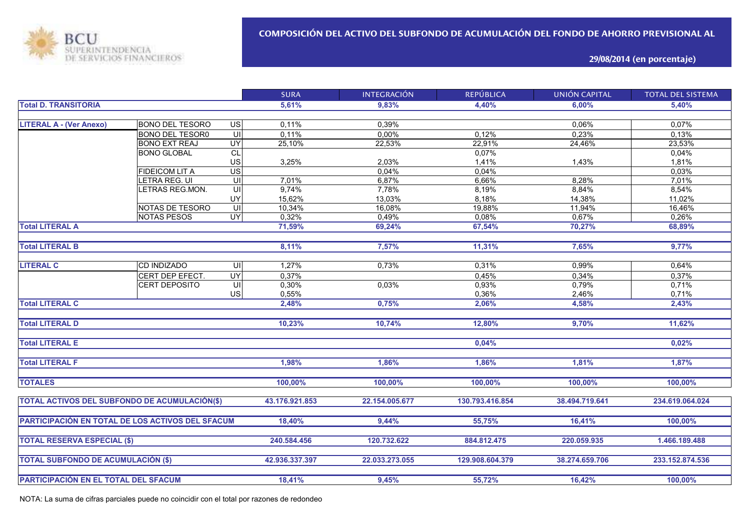

**29/08/2014 (en porcentaje)**

|                                                  |                        |                                     | <b>SURA</b>    | <b>INTEGRACIÓN</b> | <b>REPÚBLICA</b> | <b>UNIÓN CAPITAL</b> | <b>TOTAL DEL SISTEMA</b> |
|--------------------------------------------------|------------------------|-------------------------------------|----------------|--------------------|------------------|----------------------|--------------------------|
| <b>Total D. TRANSITORIA</b>                      |                        |                                     | 5.61%          | 9.83%              | 4,40%            | 6.00%                | 5,40%                    |
|                                                  |                        |                                     |                |                    |                  |                      |                          |
| <b>LITERAL A - (Ver Anexo)</b>                   | <b>BONO DEL TESORO</b> | $\overline{S}$                      | 0,11%          | 0,39%              |                  | 0,06%                | 0,07%                    |
|                                                  | <b>BONO DEL TESOR0</b> | $\subseteq$                         | 0,11%          | 0,00%              | 0.12%            | 0,23%                | 0,13%                    |
|                                                  | <b>BONO EXT REAJ</b>   | $\overline{UY}$                     | 25,10%         | 22,53%             | 22,91%           | 24,46%               | 23,53%                   |
|                                                  | <b>BONO GLOBAL</b>     | CL                                  |                |                    | 0,07%            |                      | 0,04%                    |
|                                                  |                        | US                                  | 3,25%          | 2,03%              | 1,41%            | 1,43%                | 1,81%                    |
|                                                  | <b>FIDEICOM LIT A</b>  | $\overline{US}$                     |                | 0.04%              | 0,04%            |                      | 0,03%                    |
|                                                  | LETRA REG. UI          | $\overline{\underline{\mathsf{c}}}$ | 7,01%          | 6,87%              | 6,66%            | 8,28%                | 7,01%                    |
|                                                  | LETRAS REG.MON.        | $\overline{\mathsf{U}}$             | 9,74%          | 7,78%              | 8,19%            | 8,84%                | 8,54%                    |
|                                                  |                        | UY                                  | 15,62%         | 13,03%             | 8,18%            | 14,38%               | 11,02%                   |
|                                                  | NOTAS DE TESORO        | UI                                  | 10,34%         | 16,08%             | 19,88%           | 11,94%               | 16,46%                   |
|                                                  | NOTAS PESOS            | $\overline{\mathsf{C}}$             | 0,32%          | 0,49%              | 0,08%            | 0,67%                | 0,26%                    |
| <b>Total LITERAL A</b>                           |                        |                                     | 71,59%         | 69,24%             | 67,54%           | 70,27%               | 68,89%                   |
|                                                  |                        |                                     |                |                    |                  |                      |                          |
| <b>Total LITERAL B</b>                           |                        |                                     | 8,11%          | 7.57%              | 11.31%           | 7.65%                | 9,77%                    |
|                                                  |                        |                                     |                |                    |                  |                      |                          |
| <b>LITERAL C</b>                                 | <b>CD INDIZADO</b>     | $\overline{\mathsf{U}}$             | 1,27%          | 0,73%              | 0,31%            | 0,99%                | 0,64%                    |
|                                                  | CERT DEP EFECT.        | <b>UY</b>                           | 0,37%          |                    | 0,45%            | 0,34%                | 0,37%                    |
|                                                  | CERT DEPOSITO          | UI                                  | 0,30%          | 0,03%              | 0,93%            | 0,79%                | 0,71%                    |
|                                                  |                        | US                                  | 0,55%          |                    | 0,36%            | 2,46%                | 0,71%                    |
| <b>Total LITERAL C</b>                           |                        |                                     | 2,48%          | 0,75%              | 2,06%            | 4,58%                | 2,43%                    |
|                                                  |                        |                                     |                |                    |                  |                      |                          |
| <b>Total LITERAL D</b>                           |                        |                                     | 10,23%         | 10,74%             | 12,80%           | 9,70%                | 11,62%                   |
|                                                  |                        |                                     |                |                    |                  |                      |                          |
| <b>Total LITERAL E</b>                           |                        |                                     |                |                    | 0,04%            |                      | 0,02%                    |
|                                                  |                        |                                     |                |                    |                  |                      |                          |
| <b>Total LITERAL F</b>                           |                        |                                     | 1,98%          | 1,86%              | 1,86%            | 1,81%                | 1,87%                    |
|                                                  |                        |                                     |                |                    |                  |                      |                          |
| <b>TOTALES</b>                                   |                        |                                     | 100,00%        | 100,00%            | 100,00%          | 100,00%              | 100,00%                  |
|                                                  |                        |                                     |                |                    |                  |                      |                          |
| TOTAL ACTIVOS DEL SUBFONDO DE ACUMULACIÓN(\$)    |                        |                                     | 43.176.921.853 | 22.154.005.677     | 130.793.416.854  | 38.494.719.641       | 234.619.064.024          |
|                                                  |                        |                                     |                |                    |                  |                      |                          |
| PARTICIPACIÓN EN TOTAL DE LOS ACTIVOS DEL SFACUM |                        |                                     | 18,40%         | 9,44%              | 55,75%           | 16,41%               | 100,00%                  |
|                                                  |                        |                                     |                |                    |                  |                      |                          |
| <b>TOTAL RESERVA ESPECIAL (\$)</b>               |                        |                                     | 240.584.456    | 120.732.622        | 884.812.475      | 220.059.935          | 1.466.189.488            |
|                                                  |                        |                                     |                |                    |                  |                      |                          |
| <b>TOTAL SUBFONDO DE ACUMULACIÓN (\$)</b>        |                        |                                     | 42.936.337.397 | 22.033.273.055     | 129.908.604.379  | 38.274.659.706       | 233.152.874.536          |
|                                                  |                        |                                     |                |                    |                  |                      |                          |
| PARTICIPACIÓN EN EL TOTAL DEL SFACUM             |                        |                                     | 18,41%         | 9,45%              | 55,72%           | 16,42%               | 100,00%                  |

NOTA: La suma de cifras parciales puede no coincidir con el total por razones de redondeo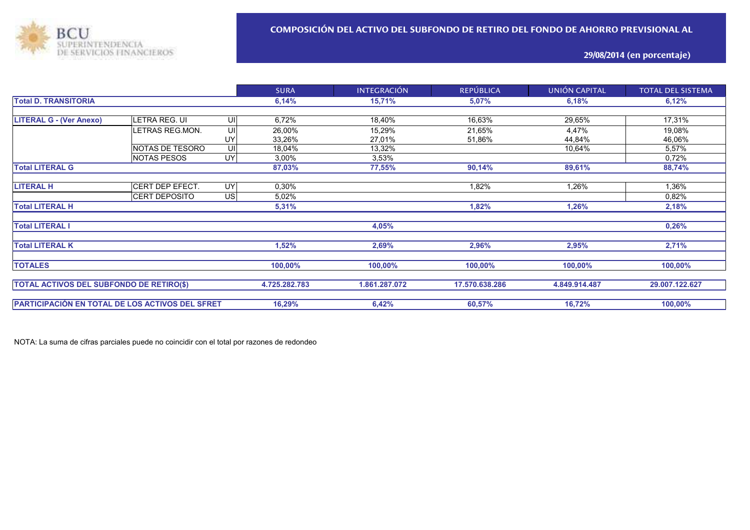

## **29/08/2014 (en porcentaje)**

|                                                 |                      |               | <b>SURA</b>   | <b>INTEGRACIÓN</b>       | <b>REPÚBLICA</b> | UNIÓN CAPITAL  | TOTAL DEL SISTEMA |  |
|-------------------------------------------------|----------------------|---------------|---------------|--------------------------|------------------|----------------|-------------------|--|
| <b>Total D. TRANSITORIA</b>                     |                      |               | 6,14%         | 15,71%<br>5,07%<br>6,18% |                  |                | 6,12%             |  |
|                                                 |                      |               |               |                          |                  |                |                   |  |
| <b>LITERAL G - (Ver Anexo)</b>                  | LETRA REG. UI        | UI            | 6,72%         | 18,40%                   | 16,63%           | 29,65%         | 17,31%            |  |
|                                                 | LETRAS REG.MON.      | UI            | 26,00%        | 15,29%                   | 21,65%           | 4,47%          | 19,08%            |  |
|                                                 |                      | UY            | 33,26%        | 27,01%                   | 51,86%           | 44,84%         | 46,06%            |  |
|                                                 | NOTAS DE TESORO      | UI            | 18,04%        | 13,32%                   |                  | 10,64%         | 5,57%             |  |
|                                                 | <b>NOTAS PESOS</b>   | UY            | 3,00%         | 3,53%                    |                  |                | 0,72%             |  |
| <b>Total LITERAL G</b>                          |                      |               | 87,03%        | 77,55%                   | 90,14%           | 89,61%         | 88,74%            |  |
|                                                 |                      |               |               |                          |                  |                |                   |  |
| <b>LITERAL H</b>                                | CERT DEP EFECT.      | UY            | 0,30%         |                          | 1,82%            | 1,26%          | 1,36%             |  |
|                                                 | <b>CERT DEPOSITO</b> | <b>US</b>     | 5,02%         |                          |                  |                | 0,82%             |  |
| <b>Total LITERAL H</b>                          |                      |               | 5,31%         |                          | 1,82%            | 1,26%          | 2,18%             |  |
|                                                 |                      |               |               |                          |                  |                |                   |  |
| <b>Total LITERAL I</b>                          |                      |               |               | 4,05%                    |                  |                | 0,26%             |  |
| <b>Total LITERAL K</b>                          |                      |               | 1,52%         | 2,69%                    | 2,96%            | 2,95%          | 2,71%             |  |
|                                                 |                      |               |               |                          |                  |                |                   |  |
| <b>TOTALES</b>                                  |                      |               | 100,00%       | 100,00%                  | 100,00%          | 100,00%        | 100,00%           |  |
|                                                 |                      |               |               |                          |                  |                |                   |  |
| <b>TOTAL ACTIVOS DEL SUBFONDO DE RETIRO(\$)</b> |                      | 4.725.282.783 | 1.861.287.072 | 17.570.638.286           | 4.849.914.487    | 29.007.122.627 |                   |  |
|                                                 |                      |               |               |                          |                  |                |                   |  |
| PARTICIPACIÓN EN TOTAL DE LOS ACTIVOS DEL SFRET |                      |               | 16,29%        | 6,42%                    | 60,57%           | 16,72%         | 100,00%           |  |

NOTA: La suma de cifras parciales puede no coincidir con el total por razones de redondeo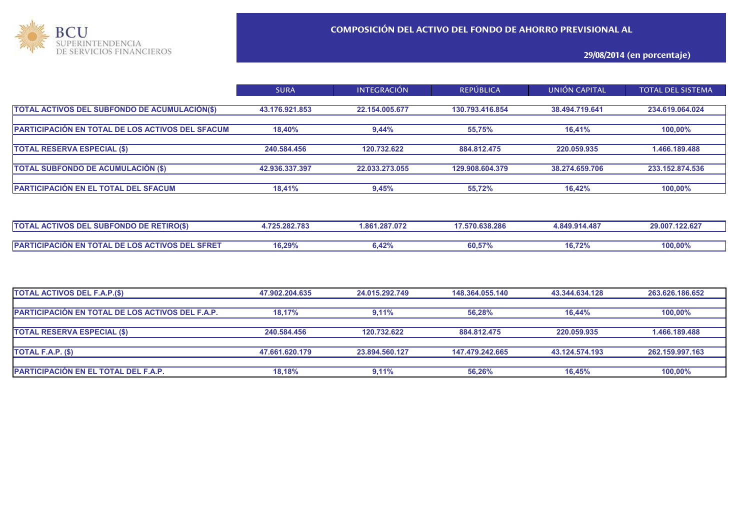

## **29/08/2014 (en porcentaje)**

|                                                  | <b>SURA</b>    | <b>INTEGRACIÓN</b> | <b>REPÚBLICA</b> | UNIÓN CAPITAL  | <b>TOTAL DEL SISTEMA</b> |
|--------------------------------------------------|----------------|--------------------|------------------|----------------|--------------------------|
|                                                  |                |                    |                  |                |                          |
| TOTAL ACTIVOS DEL SUBFONDO DE ACUMULACIÓN(\$)    | 43.176.921.853 | 22.154.005.677     | 130.793.416.854  | 38.494.719.641 | 234.619.064.024          |
|                                                  |                |                    |                  |                |                          |
| PARTICIPACIÓN EN TOTAL DE LOS ACTIVOS DEL SFACUM | 18.40%         | 9,44%              | 55,75%           | 16.41%         | 100,00%                  |
|                                                  |                |                    |                  |                |                          |
| <b>TOTAL RESERVA ESPECIAL (\$)</b>               | 240.584.456    | 120.732.622        | 884.812.475      | 220.059.935    | 1.466.189.488            |
|                                                  |                |                    |                  |                |                          |
| <b>TOTAL SUBFONDO DE ACUMULACIÓN (\$)</b>        | 42.936.337.397 | 22.033.273.055     | 129.908.604.379  | 38.274.659.706 | 233.152.874.536          |
|                                                  |                |                    |                  |                |                          |
| PARTICIPACIÓN EN EL TOTAL DEL SFACUM             | 18,41%         | 9,45%              | 55,72%           | 16.42%         | 100,00%                  |
|                                                  |                |                    |                  |                |                          |

| <b><i>FIVOS DEL</i></b><br>∟ SUBFONDO DE RETIRO(\$'<br><b>TOTAL</b><br>Δı<br><b>Avi</b>           | 1.725.282.783<br>1.861.287.072 |                      | 17.570.638.286         | 4.849.914.48        | 29.007.122.627 |
|---------------------------------------------------------------------------------------------------|--------------------------------|----------------------|------------------------|---------------------|----------------|
|                                                                                                   |                                |                      |                        |                     |                |
| <b>ACTIVOS DEL SFRET</b><br>DE<br><b>TOTAL</b><br><b>PART</b><br>$\_$ LOS ACT<br>TICIPAC<br>"ION. | 16,29%                         | $\sqrt{2}$<br>0.4∠7o | 60,57%<br>. <i>.</i> . | 16.720<br>10. / 470 | 100,00%        |

| TOTAL ACTIVOS DEL F.A.P.(\$)                            | 47.902.204.635 | 24.015.292.749 | 148.364.055.140 | 43.344.634.128 | 263.626.186.652 |
|---------------------------------------------------------|----------------|----------------|-----------------|----------------|-----------------|
| <b>PARTICIPACIÓN EN TOTAL DE LOS ACTIVOS DEL F.A.P.</b> | 18,17%         | 9.11%          | 56.28%          | 16.44%         | $100,00\%$      |
| <b>TOTAL RESERVA ESPECIAL (\$)</b>                      | 240.584.456    | 120.732.622    | 884.812.475     | 220.059.935    | 1.466.189.488   |
| <b>TOTAL F.A.P. <math>(\\$)</math></b>                  | 47.661.620.179 | 23.894.560.127 | 147.479.242.665 | 43.124.574.193 | 262.159.997.163 |
| <b>PARTICIPACIÓN EN EL TOTAL DEL F.A.P.</b>             | 18,18%         | 9,11%          | 56,26%          | 16.45%         | 100,00%         |